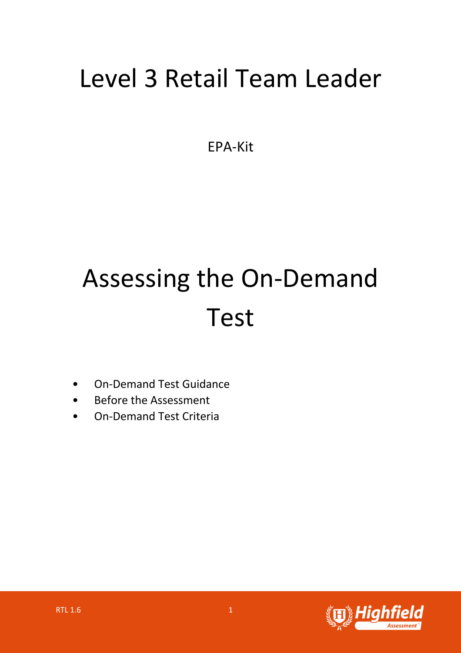## Level 3 Retail Team Leader

EPA-Kit

# Assessing the On-Demand Test

- On-Demand Test Guidance
- Before the Assessment
- On-Demand Test Criteria

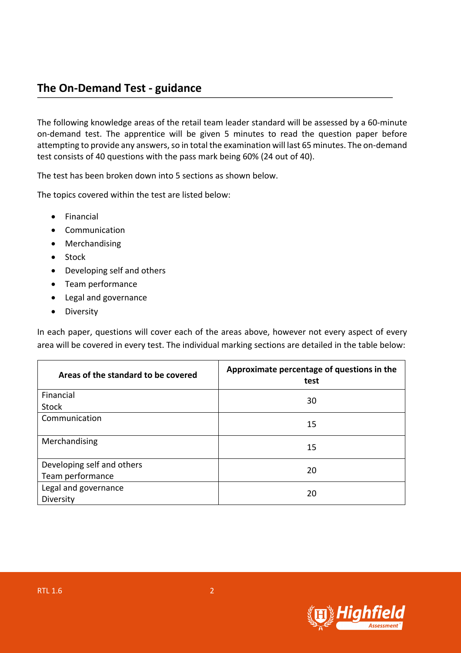#### **The On-Demand Test - guidance**

The following knowledge areas of the retail team leader standard will be assessed by a 60-minute on-demand test. The apprentice will be given 5 minutes to read the question paper before attempting to provide any answers, so in total the examination will last 65 minutes. The on-demand test consists of 40 questions with the pass mark being 60% (24 out of 40).

The test has been broken down into 5 sections as shown below.

The topics covered within the test are listed below:

- Financial
- Communication
- Merchandising
- Stock
- Developing self and others
- Team performance
- Legal and governance
- Diversity

In each paper, questions will cover each of the areas above, however not every aspect of every area will be covered in every test. The individual marking sections are detailed in the table below:

| Areas of the standard to be covered | Approximate percentage of questions in the<br>test |  |
|-------------------------------------|----------------------------------------------------|--|
| Financial                           | 30                                                 |  |
| <b>Stock</b>                        |                                                    |  |
| Communication                       | 15                                                 |  |
| Merchandising                       | 15                                                 |  |
| Developing self and others          | 20                                                 |  |
| Team performance                    |                                                    |  |
| Legal and governance                | 20                                                 |  |
| Diversity                           |                                                    |  |

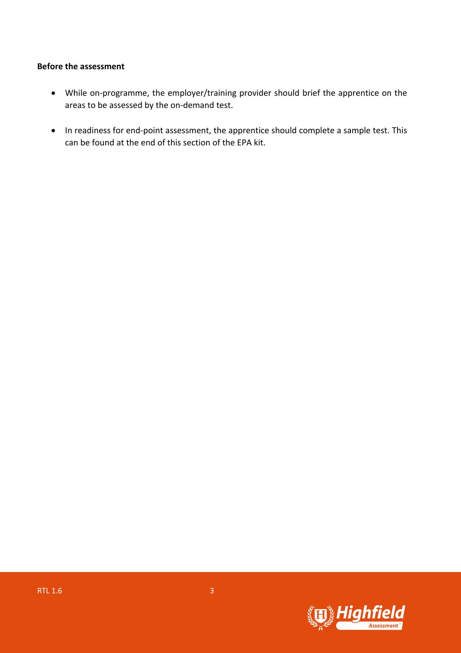#### **Before the assessment**

- While on-programme, the employer/training provider should brief the apprentice on the areas to be assessed by the on-demand test.
- In readiness for end-point assessment, the apprentice should complete a sample test. This can be found at the end of this section of the EPA kit.

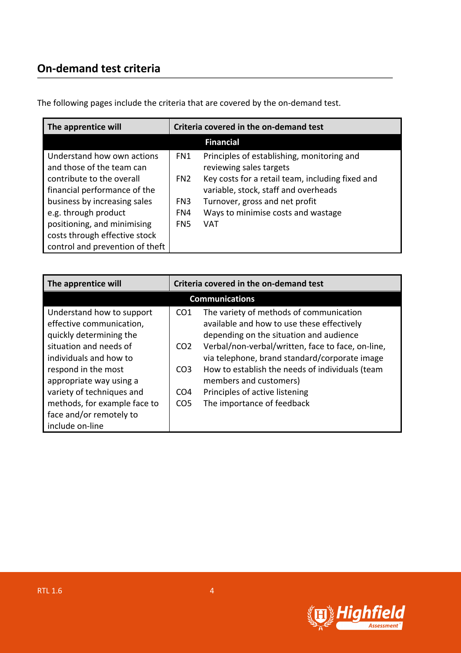### **On-demand test criteria**

| The apprentice will             | Criteria covered in the on-demand test |                                                  |
|---------------------------------|----------------------------------------|--------------------------------------------------|
|                                 |                                        | <b>Financial</b>                                 |
| Understand how own actions      | FN1                                    | Principles of establishing, monitoring and       |
| and those of the team can       |                                        | reviewing sales targets                          |
| contribute to the overall       | FN <sub>2</sub>                        | Key costs for a retail team, including fixed and |
| financial performance of the    |                                        | variable, stock, staff and overheads             |
| business by increasing sales    | FN3                                    | Turnover, gross and net profit                   |
| e.g. through product            | FN4                                    | Ways to minimise costs and wastage               |
| positioning, and minimising     | FN <sub>5</sub>                        | VAT                                              |
| costs through effective stock   |                                        |                                                  |
| control and prevention of theft |                                        |                                                  |

The following pages include the criteria that are covered by the on-demand test.

| The apprentice will                                                                                                                    | Criteria covered in the on-demand test                |                                                                                                                                                                                                                                        |
|----------------------------------------------------------------------------------------------------------------------------------------|-------------------------------------------------------|----------------------------------------------------------------------------------------------------------------------------------------------------------------------------------------------------------------------------------------|
|                                                                                                                                        |                                                       | <b>Communications</b>                                                                                                                                                                                                                  |
| Understand how to support<br>effective communication,<br>quickly determining the<br>situation and needs of<br>individuals and how to   | CO <sub>1</sub><br>CO <sub>2</sub>                    | The variety of methods of communication<br>available and how to use these effectively<br>depending on the situation and audience<br>Verbal/non-verbal/written, face to face, on-line,<br>via telephone, brand standard/corporate image |
| respond in the most<br>appropriate way using a<br>variety of techniques and<br>methods, for example face to<br>face and/or remotely to | CO <sub>3</sub><br>CO <sub>4</sub><br>CO <sub>5</sub> | How to establish the needs of individuals (team<br>members and customers)<br>Principles of active listening<br>The importance of feedback                                                                                              |
| include on-line                                                                                                                        |                                                       |                                                                                                                                                                                                                                        |

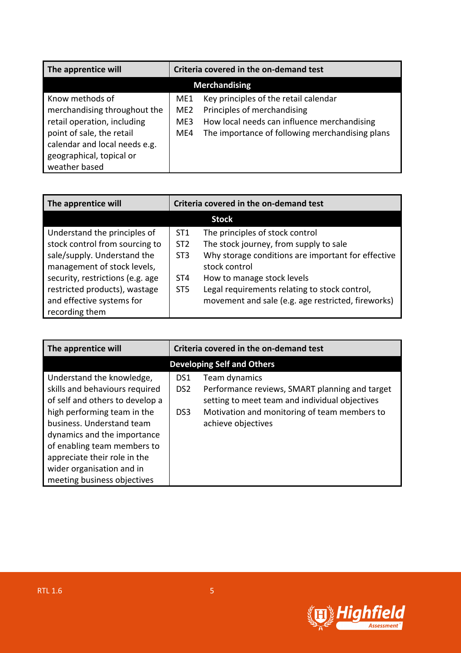| The apprentice will                                                                                                                                                                       | Criteria covered in the on-demand test |                                                                                                                                                                        |
|-------------------------------------------------------------------------------------------------------------------------------------------------------------------------------------------|----------------------------------------|------------------------------------------------------------------------------------------------------------------------------------------------------------------------|
| <b>Merchandising</b>                                                                                                                                                                      |                                        |                                                                                                                                                                        |
| Know methods of<br>merchandising throughout the<br>retail operation, including<br>point of sale, the retail<br>calendar and local needs e.g.<br>geographical, topical or<br>weather based | ME1<br>ME <sub>2</sub><br>ME3<br>ME4   | Key principles of the retail calendar<br>Principles of merchandising<br>How local needs can influence merchandising<br>The importance of following merchandising plans |

| The apprentice will              | Criteria covered in the on-demand test |                                                    |
|----------------------------------|----------------------------------------|----------------------------------------------------|
|                                  |                                        | <b>Stock</b>                                       |
| Understand the principles of     | ST <sub>1</sub>                        | The principles of stock control                    |
| stock control from sourcing to   | ST <sub>2</sub>                        | The stock journey, from supply to sale             |
| sale/supply. Understand the      | ST <sub>3</sub>                        | Why storage conditions are important for effective |
| management of stock levels,      |                                        | stock control                                      |
| security, restrictions (e.g. age | ST <sub>4</sub>                        | How to manage stock levels                         |
| restricted products), wastage    | ST <sub>5</sub>                        | Legal requirements relating to stock control,      |
| and effective systems for        |                                        | movement and sale (e.g. age restricted, fireworks) |
| recording them                   |                                        |                                                    |

| The apprentice will                                                                                                                                                                                                                                                                                                  | Criteria covered in the on-demand test                                                                                                                                                                                   |  |
|----------------------------------------------------------------------------------------------------------------------------------------------------------------------------------------------------------------------------------------------------------------------------------------------------------------------|--------------------------------------------------------------------------------------------------------------------------------------------------------------------------------------------------------------------------|--|
|                                                                                                                                                                                                                                                                                                                      | <b>Developing Self and Others</b>                                                                                                                                                                                        |  |
| Understand the knowledge,<br>skills and behaviours required<br>of self and others to develop a<br>high performing team in the<br>business. Understand team<br>dynamics and the importance<br>of enabling team members to<br>appreciate their role in the<br>wider organisation and in<br>meeting business objectives | Team dynamics<br>DS1<br>Performance reviews, SMART planning and target<br>DS <sub>2</sub><br>setting to meet team and individual objectives<br>Motivation and monitoring of team members to<br>DS3<br>achieve objectives |  |